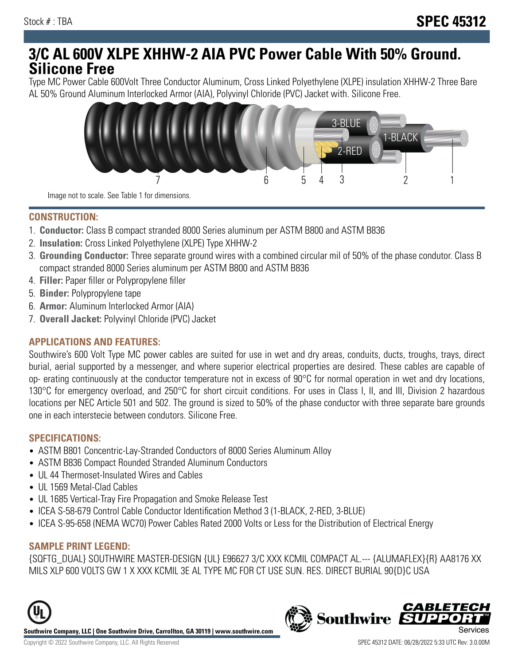# **3/C AL 600V XLPE XHHW-2 AIA PVC Power Cable With 50% Ground. Silicone Free**

Type MC Power Cable 600Volt Three Conductor Aluminum, Cross Linked Polyethylene (XLPE) insulation XHHW-2 Three Bare AL 50% Ground Aluminum Interlocked Armor (AIA), Polyvinyl Chloride (PVC) Jacket with. Silicone Free.



Image not to scale. See Table 1 for dimensions.

#### **CONSTRUCTION:**

- 1. **Conductor:** Class B compact stranded 8000 Series aluminum per ASTM B800 and ASTM B836
- 2. **Insulation:** Cross Linked Polyethylene (XLPE) Type XHHW-2
- 3. **Grounding Conductor:** Three separate ground wires with a combined circular mil of 50% of the phase condutor. Class B compact stranded 8000 Series aluminum per ASTM B800 and ASTM B836
- 4. **Filler:** Paper filler or Polypropylene filler
- 5. **Binder:** Polypropylene tape
- 6. **Armor:** Aluminum Interlocked Armor (AIA)
- 7. **Overall Jacket:** Polyvinyl Chloride (PVC) Jacket

### **APPLICATIONS AND FEATURES:**

Southwire's 600 Volt Type MC power cables are suited for use in wet and dry areas, conduits, ducts, troughs, trays, direct burial, aerial supported by a messenger, and where superior electrical properties are desired. These cables are capable of op- erating continuously at the conductor temperature not in excess of 90°C for normal operation in wet and dry locations, 130°C for emergency overload, and 250°C for short circuit conditions. For uses in Class I, II, and III, Division 2 hazardous locations per NEC Article 501 and 502. The ground is sized to 50% of the phase conductor with three separate bare grounds one in each interstecie between condutors. Silicone Free.

#### **SPECIFICATIONS:**

- ASTM B801 Concentric-Lay-Stranded Conductors of 8000 Series Aluminum Alloy
- ASTM B836 Compact Rounded Stranded Aluminum Conductors
- UL 44 Thermoset-Insulated Wires and Cables
- UL 1569 Metal-Clad Cables
- UL 1685 Vertical-Tray Fire Propagation and Smoke Release Test
- ICEA S-58-679 Control Cable Conductor Identification Method 3 (1-BLACK, 2-RED, 3-BLUE)
- ICEA S-95-658 (NEMA WC70) Power Cables Rated 2000 Volts or Less for the Distribution of Electrical Energy

### **SAMPLE PRINT LEGEND:**

{SQFTG\_DUAL} SOUTHWIRE MASTER-DESIGN {UL} E96627 3/C XXX KCMIL COMPACT AL.--- {ALUMAFLEX}{R} AA8176 XX MILS XLP 600 VOLTS GW 1 X XXX KCMIL 3E AL TYPE MC FOR CT USE SUN. RES. DIRECT BURIAL 90{D}C USA